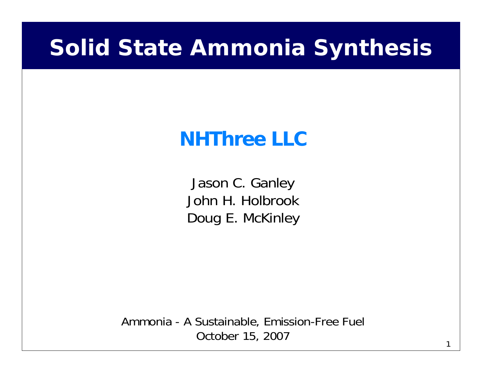## **Solid State Ammonia Synthesis**

## **NHThree LLC**

Jason C. Ganley John H. HolbrookDoug E. McKinley

Ammonia - A Sustainable, Emission-Free Fuel October 15, 2007

1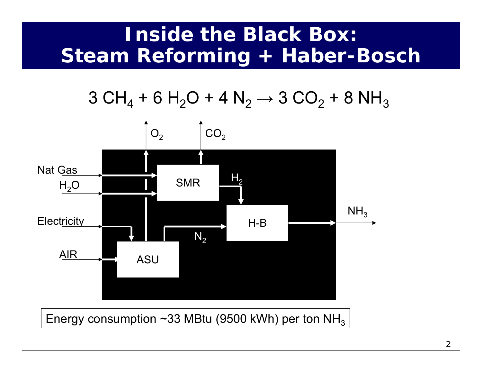### **Inside the Black Box: Steam Reforming + Haber-Bosch**

3 CH<sub>4</sub> + 6 H<sub>2</sub>O + 4 N<sub>2</sub> → 3 CO<sub>2</sub> + 8 NH<sub>3</sub>



Energy consumption ~33 MBtu (9500 kWh) per ton NH $_{\rm 3}$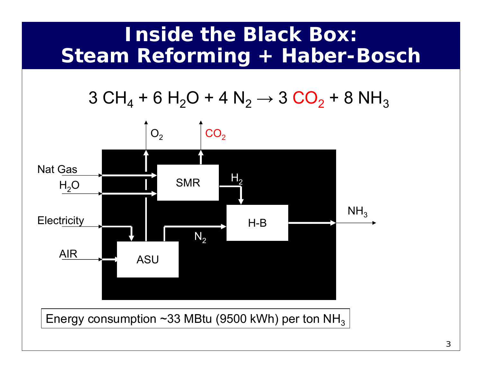### **Inside the Black Box: Steam Reforming + Haber-Bosch**

3 CH<sub>4</sub> + 6 H<sub>2</sub>O + 4 N<sub>2</sub> → 3 CO<sub>2</sub> + 8 NH<sub>3</sub>



Energy consumption ~33 MBtu (9500 kWh) per ton NH $_{\rm 3}$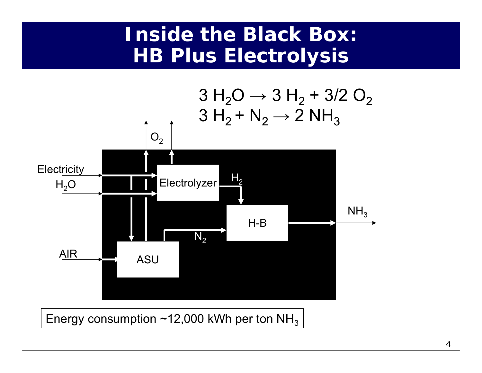#### **Inside the Black Box: HB Plus Electrolysis**



Energy consumption ~12,000 kWh per ton NH $_{\rm 3}$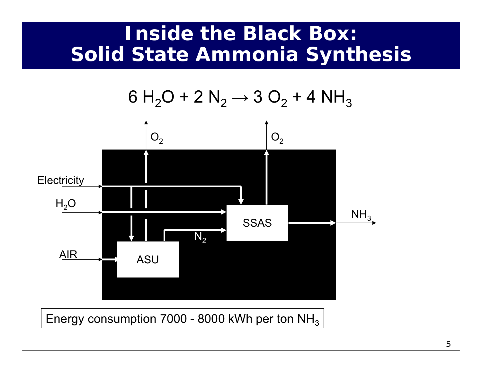### **Inside the Black Box: Solid State Ammonia Synthesis**



Energy consumption 7000 - 8000 kWh per ton NH $_{\rm 3}$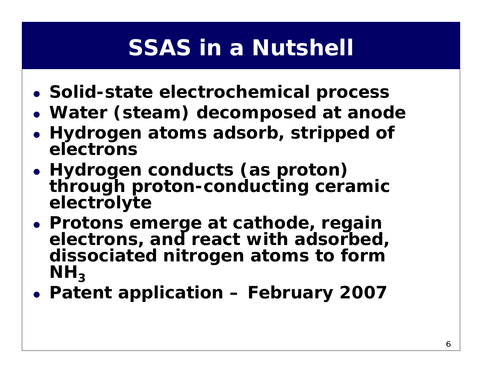# **SSAS in a Nutshell**

- z **Solid-state electrochemical process**
- z **Water (steam) decomposed at anode**
- **Hydrogen atoms adsorb, stripped of electrons**
- z **Hydrogen conducts (as proton) through proton-conducting ceramic electrolyte**
- **Protons emerge at cathode, regain electrons, and react with adsorbed, dissociated nitrogen atoms to form**   $\mathsf{NH}_3$
- z **Patent application – February 2007**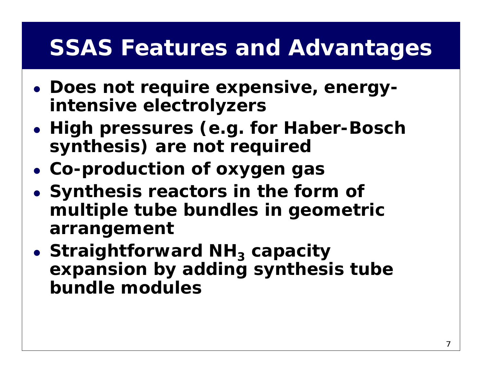## **SSAS Features and Advantages**

- **Does not require expensive, energyintensive electrolyzers**
- z **High pressures (e.g. for Haber-Bosch synthesis) are not required**
- z **Co-production of oxygen gas**
- **Synthesis reactors in the form of multiple tube bundles in geometric arrangement**
- **Straightforward NH<sub>3</sub> capacity expansion by adding synthesis tube bundle modules**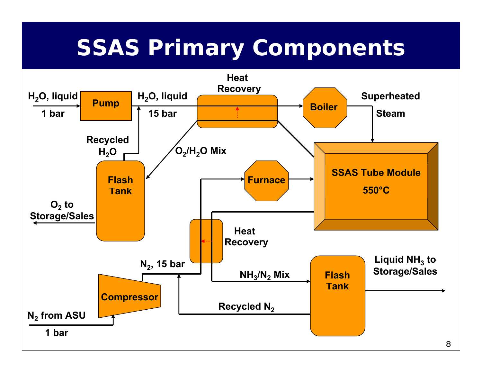# **SSAS Primary Components**

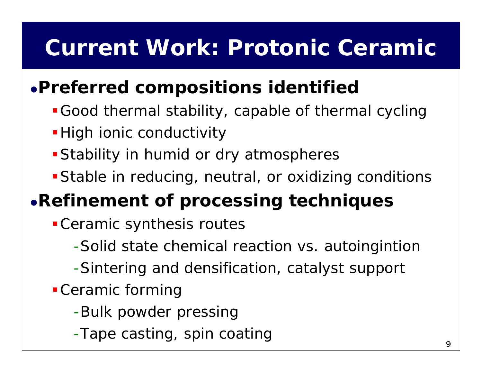# **Current Work: Protonic Ceramic**

#### <sup>z</sup>**Preferred compositions identified**

- Good thermal stability, capable of thermal cycling
- **-High ionic conductivity**
- **Stability in humid or dry atmospheres**
- Stable in reducing, neutral, or oxidizing conditions

## <sup>z</sup>**Refinement of processing techniques**

- Ceramic synthesis routes
	- -Solid state chemical reaction vs. autoingintion
	- -Sintering and densification, catalyst support
- Ceramic forming
	- -Bulk powder pressing
	- -Tape casting, spin coating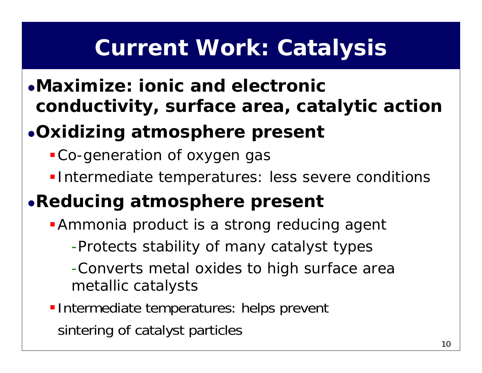# **Current Work: Catalysis**

z**Maximize: ionic and electronic conductivity, surface area, catalytic action**

## <sup>z</sup>**Oxidizing atmosphere present**

- Co-generation of oxygen gas
- **Intermediate temperatures: less severe conditions**

#### <sup>z</sup>**Reducing atmosphere present**

**Ammonia product is a strong reducing agent** 

-Protects stability of many catalyst types

-Converts metal oxides to high surface area metallic catalysts

**Intermediate temperatures: helps prevent** sintering of catalyst particles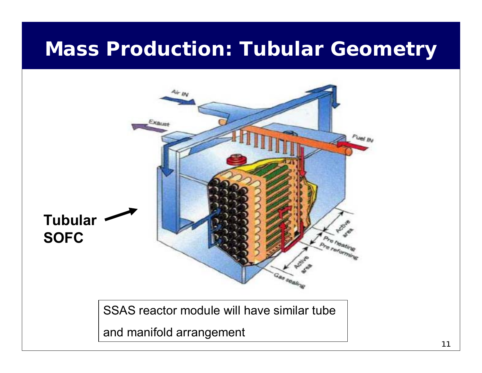## **Mass Production: Tubular Geometry**



SSAS reactor module will have similar tube

and manifold arrangement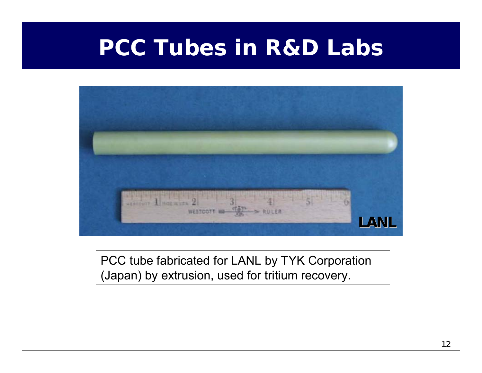## **PCC Tubes in R&D Labs**



#### PCC tube fabricated for LANL by TYK Corporation (Japan) by extrusion, used for tritium recovery.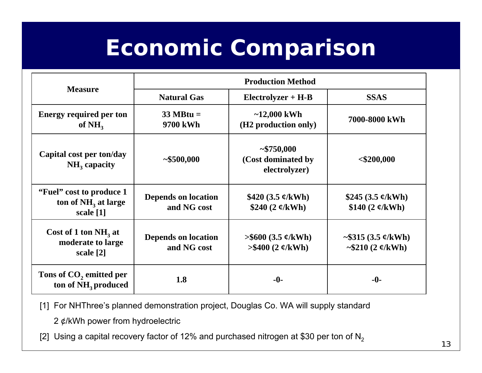# **Economic Comparison**

| <b>Measure</b>                                                           | <b>Production Method</b>                  |                                                            |                                                            |
|--------------------------------------------------------------------------|-------------------------------------------|------------------------------------------------------------|------------------------------------------------------------|
|                                                                          | <b>Natural Gas</b>                        | $Electrolyzer + H-B$                                       | <b>SSAS</b>                                                |
| <b>Energy required per ton</b><br>of $NH3$                               | $33 \text{ MHz} =$<br>9700 kWh            | $~12,000$ kWh<br>(H <sub>2</sub> production only)          | 7000-8000 kWh                                              |
| Capital cost per ton/day<br>$NH3$ capacity                               | ~1500,000                                 | ~1000<br>(Cost dominated by<br>electrolyzer)               | $<$ \$200,000                                              |
| "Fuel" cost to produce 1<br>ton of NH <sub>3</sub> at large<br>scale [1] | <b>Depends on location</b><br>and NG cost | \$420 $(3.5 \, \phi/\mathrm{kWh})$<br>\$240 $(2 \ell/kWh)$ | \$245 $(3.5 \, \phi/\mathrm{kWh})$<br>\$140 $(2 \ell/kWh)$ |
| Cost of 1 ton $NH3$ at<br>moderate to large<br>scale [2]                 | <b>Depends on location</b><br>and NG cost | $>$ \$600 (3.5 ¢/kWh)<br>$> $400 (2 \frac{\mu}{kWh})$      | $\sim$ \$315 (3.5 ¢/kWh)<br>~\$210 $(2 \ell/kWh)$          |
| Tons of $CO2$ emitted per<br>ton of NH <sub>3</sub> produced             | 1.8                                       | $-0-$                                                      | $-0-$                                                      |

[1] For NHThree's planned demonstration project, Douglas Co. WA will supply standard

2 ¢/kWh power from hydroelectric

[2] Using a capital recovery factor of 12% and purchased nitrogen at \$30 per ton of  $N<sub>2</sub>$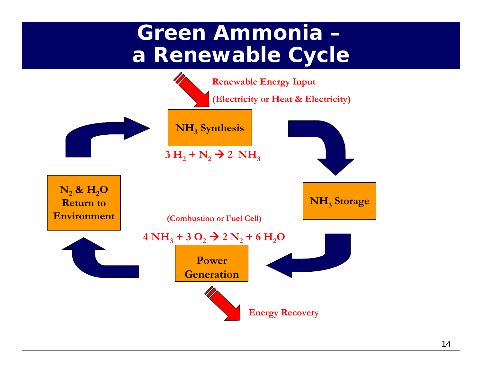## **Green Ammonia –a Renewable Cycle**